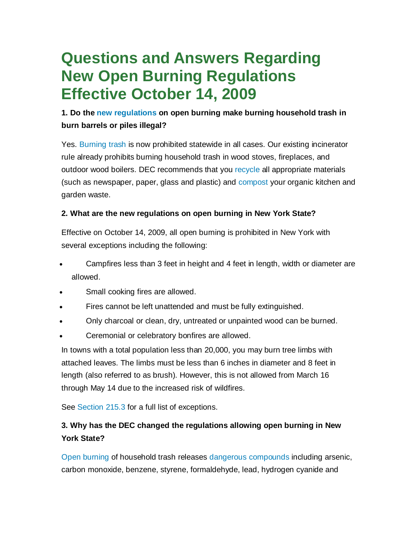# **Questions and Answers Regarding New Open Burning Regulations Effective October 14, 2009**

# **1. Do the new regulations on open burning make burning household trash in burn barrels or piles illegal?**

Yes. Burning trash is now prohibited statewide in all cases. Our existing incinerator rule already prohibits burning household trash in wood stoves, fireplaces, and outdoor wood boilers. DEC recommends that you recycle all appropriate materials (such as newspaper, paper, glass and plastic) and compost your organic kitchen and garden waste.

# **2. What are the new regulations on open burning in New York State?**

Effective on October 14, 2009, all open burning is prohibited in New York with several exceptions including the following:

- Campfires less than 3 feet in height and 4 feet in length, width or diameter are allowed.
- Small cooking fires are allowed.
- Fires cannot be left unattended and must be fully extinguished.
- Only charcoal or clean, dry, untreated or unpainted wood can be burned.
- Ceremonial or celebratory bonfires are allowed.

In towns with a total population less than 20,000, you may burn tree limbs with attached leaves. The limbs must be less than 6 inches in diameter and 8 feet in length (also referred to as brush). However, this is not allowed from March 16 through May 14 due to the increased risk of wildfires.

See Section 215.3 for a full list of exceptions.

# **3. Why has the DEC changed the regulations allowing open burning in New York State?**

Open burning of household trash releases dangerous compounds including arsenic, carbon monoxide, benzene, styrene, formaldehyde, lead, hydrogen cyanide and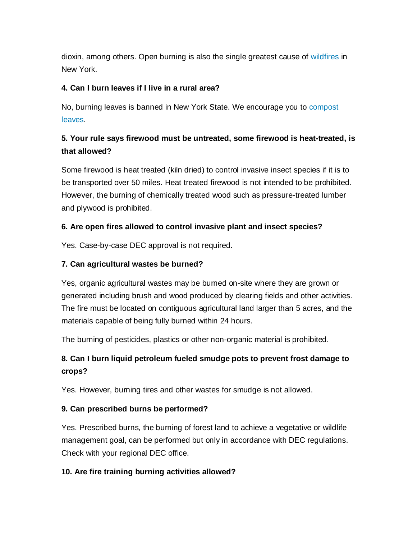dioxin, among others. Open burning is also the single greatest cause of wildfires in New York.

# **4. Can I burn leaves if I live in a rural area?**

No, burning leaves is banned in New York State. We encourage you to compost leaves.

# **5. Your rule says firewood must be untreated, some firewood is heat-treated, is that allowed?**

Some firewood is heat treated (kiln dried) to control invasive insect species if it is to be transported over 50 miles. Heat treated firewood is not intended to be prohibited. However, the burning of chemically treated wood such as pressure-treated lumber and plywood is prohibited.

# **6. Are open fires allowed to control invasive plant and insect species?**

Yes. Case-by-case DEC approval is not required.

# **7. Can agricultural wastes be burned?**

Yes, organic agricultural wastes may be burned on-site where they are grown or generated including brush and wood produced by clearing fields and other activities. The fire must be located on contiguous agricultural land larger than 5 acres, and the materials capable of being fully burned within 24 hours.

The burning of pesticides, plastics or other non-organic material is prohibited.

# **8. Can I burn liquid petroleum fueled smudge pots to prevent frost damage to crops?**

Yes. However, burning tires and other wastes for smudge is not allowed.

#### **9. Can prescribed burns be performed?**

Yes. Prescribed burns, the burning of forest land to achieve a vegetative or wildlife management goal, can be performed but only in accordance with DEC regulations. Check with your regional DEC office.

#### **10. Are fire training burning activities allowed?**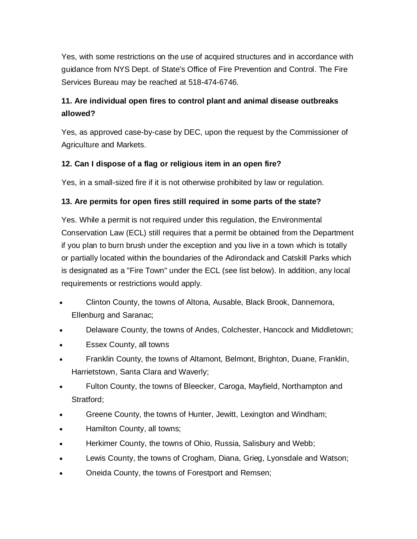Yes, with some restrictions on the use of acquired structures and in accordance with guidance from NYS Dept. of State's Office of Fire Prevention and Control. The Fire Services Bureau may be reached at 518-474-6746.

# **11. Are individual open fires to control plant and animal disease outbreaks allowed?**

Yes, as approved case-by-case by DEC, upon the request by the Commissioner of Agriculture and Markets.

# **12. Can I dispose of a flag or religious item in an open fire?**

Yes, in a small-sized fire if it is not otherwise prohibited by law or regulation.

# **13. Are permits for open fires still required in some parts of the state?**

Yes. While a permit is not required under this regulation, the Environmental Conservation Law (ECL) still requires that a permit be obtained from the Department if you plan to burn brush under the exception and you live in a town which is totally or partially located within the boundaries of the Adirondack and Catskill Parks which is designated as a "Fire Town" under the ECL (see list below). In addition, any local requirements or restrictions would apply.

- Clinton County, the towns of Altona, Ausable, Black Brook, Dannemora, Ellenburg and Saranac;
- Delaware County, the towns of Andes, Colchester, Hancock and Middletown;
- Essex County, all towns
- Franklin County, the towns of Altamont, Belmont, Brighton, Duane, Franklin, Harrietstown, Santa Clara and Waverly;
- Fulton County, the towns of Bleecker, Caroga, Mayfield, Northampton and Stratford;
- Greene County, the towns of Hunter, Jewitt, Lexington and Windham;
- Hamilton County, all towns;
- Herkimer County, the towns of Ohio, Russia, Salisbury and Webb;
- Lewis County, the towns of Crogham, Diana, Grieg, Lyonsdale and Watson;
- Oneida County, the towns of Forestport and Remsen;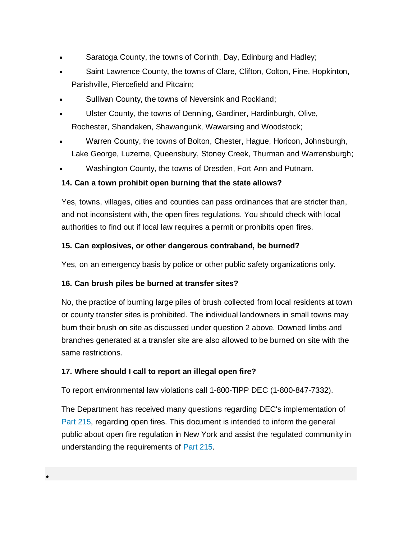- Saratoga County, the towns of Corinth, Day, Edinburg and Hadley;
- Saint Lawrence County, the towns of Clare, Clifton, Colton, Fine, Hopkinton, Parishville, Piercefield and Pitcairn;
- Sullivan County, the towns of Neversink and Rockland;
- Ulster County, the towns of Denning, Gardiner, Hardinburgh, Olive, Rochester, Shandaken, Shawangunk, Wawarsing and Woodstock;
- Warren County, the towns of Bolton, Chester, Hague, Horicon, Johnsburgh, Lake George, Luzerne, Queensbury, Stoney Creek, Thurman and Warrensburgh;
- Washington County, the towns of Dresden, Fort Ann and Putnam.

# **14. Can a town prohibit open burning that the state allows?**

Yes, towns, villages, cities and counties can pass ordinances that are stricter than, and not inconsistent with, the open fires regulations. You should check with local authorities to find out if local law requires a permit or prohibits open fires.

# **15. Can explosives, or other dangerous contraband, be burned?**

Yes, on an emergency basis by police or other public safety organizations only.

# **16. Can brush piles be burned at transfer sites?**

No, the practice of burning large piles of brush collected from local residents at town or county transfer sites is prohibited. The individual landowners in small towns may burn their brush on site as discussed under question 2 above. Downed limbs and branches generated at a transfer site are also allowed to be burned on site with the same restrictions.

#### **17. Where should I call to report an illegal open fire?**

To report environmental law violations call 1-800-TIPP DEC (1-800-847-7332).

The Department has received many questions regarding DEC's implementation of Part 215, regarding open fires. This document is intended to inform the general public about open fire regulation in New York and assist the regulated community in understanding the requirements of Part 215.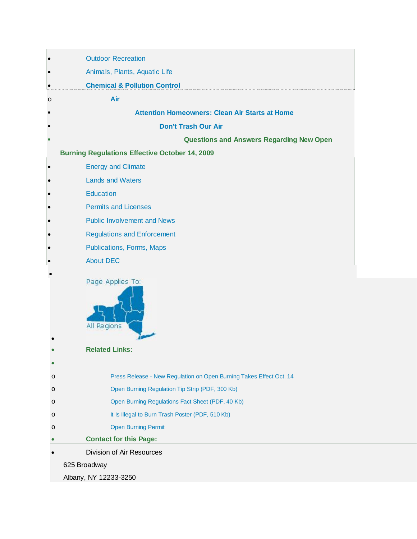| $\bullet$ | <b>Outdoor Recreation</b>                                           |  |
|-----------|---------------------------------------------------------------------|--|
|           | Animals, Plants, Aquatic Life                                       |  |
| $\bullet$ | <b>Chemical &amp; Pollution Control</b>                             |  |
| $\circ$   | Air                                                                 |  |
|           | <b>Attention Homeowners: Clean Air Starts at Home</b>               |  |
|           | <b>Don't Trash Our Air</b>                                          |  |
| п         | <b>Questions and Answers Regarding New Open</b>                     |  |
|           | <b>Burning Regulations Effective October 14, 2009</b>               |  |
|           | <b>Energy and Climate</b>                                           |  |
|           | <b>Lands and Waters</b>                                             |  |
|           | Education                                                           |  |
|           | <b>Permits and Licenses</b>                                         |  |
|           | <b>Public Involvement and News</b>                                  |  |
|           | <b>Regulations and Enforcement</b>                                  |  |
|           | Publications, Forms, Maps                                           |  |
|           | <b>About DEC</b>                                                    |  |
|           | Page Applies To:<br>All Regions                                     |  |
|           | <b>Related Links:</b>                                               |  |
|           | Press Release - New Regulation on Open Burning Takes Effect Oct. 14 |  |
| O<br>O    | Open Burning Regulation Tip Strip (PDF, 300 Kb)                     |  |
| O         | Open Burning Regulations Fact Sheet (PDF, 40 Kb)                    |  |
| $\circ$   | It Is Illegal to Burn Trash Poster (PDF, 510 Kb)                    |  |
| $\circ$   | <b>Open Burning Permit</b>                                          |  |
| $\bullet$ | <b>Contact for this Page:</b>                                       |  |
|           | Division of Air Resources                                           |  |
|           | 625 Broadway                                                        |  |
|           | Albany, NY 12233-3250                                               |  |